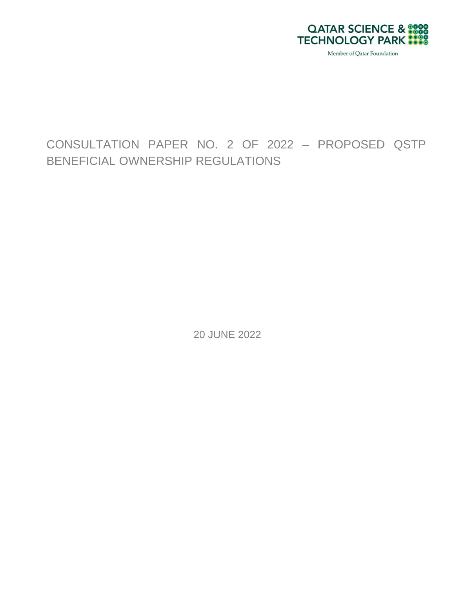

# CONSULTATION PAPER NO. 2 OF 2022 – PROPOSED QSTP BENEFICIAL OWNERSHIP REGULATIONS

20 JUNE 2022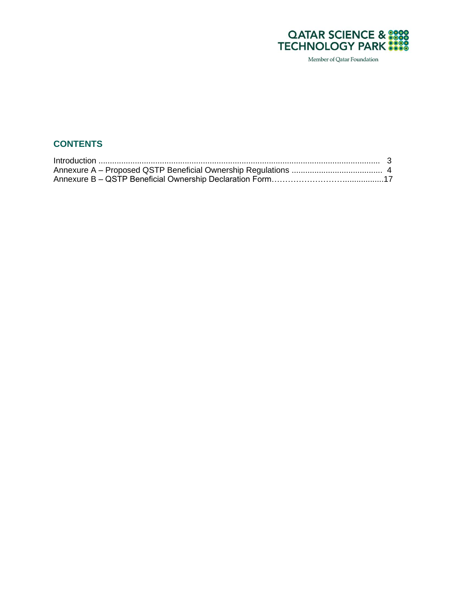

## **CONTENTS**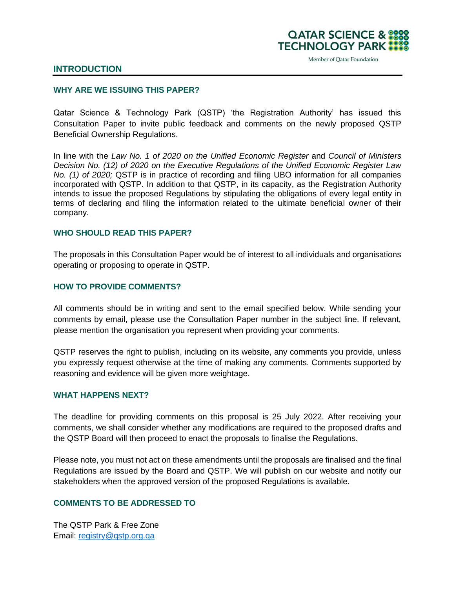

#### **INTRODUCTION**

#### **WHY ARE WE ISSUING THIS PAPER?**

Qatar Science & Technology Park (QSTP) 'the Registration Authority' has issued this Consultation Paper to invite public feedback and comments on the newly proposed QSTP Beneficial Ownership Regulations.

In line with the *Law No. 1 of 2020 on the Unified Economic Register* and *Council of Ministers Decision No. (12) of 2020 on the Executive Regulations of the Unified Economic Register Law No. (1) of 2020;* QSTP is in practice of recording and filing UBO information for all companies incorporated with QSTP. In addition to that QSTP, in its capacity, as the Registration Authority intends to issue the proposed Regulations by stipulating the obligations of every legal entity in terms of declaring and filing the information related to the ultimate beneficial owner of their company.

#### **WHO SHOULD READ THIS PAPER?**

The proposals in this Consultation Paper would be of interest to all individuals and organisations operating or proposing to operate in QSTP.

#### **HOW TO PROVIDE COMMENTS?**

All comments should be in writing and sent to the email specified below. While sending your comments by email, please use the Consultation Paper number in the subject line. If relevant, please mention the organisation you represent when providing your comments.

QSTP reserves the right to publish, including on its website, any comments you provide, unless you expressly request otherwise at the time of making any comments. Comments supported by reasoning and evidence will be given more weightage.

#### **WHAT HAPPENS NEXT?**

The deadline for providing comments on this proposal is 25 July 2022. After receiving your comments, we shall consider whether any modifications are required to the proposed drafts and the QSTP Board will then proceed to enact the proposals to finalise the Regulations.

Please note, you must not act on these amendments until the proposals are finalised and the final Regulations are issued by the Board and QSTP. We will publish on our website and notify our stakeholders when the approved version of the proposed Regulations is available.

#### **COMMENTS TO BE ADDRESSED TO**

The QSTP Park & Free Zone Email: [registry@qstp.org.qa](mailto:registry@qstp.org.qa)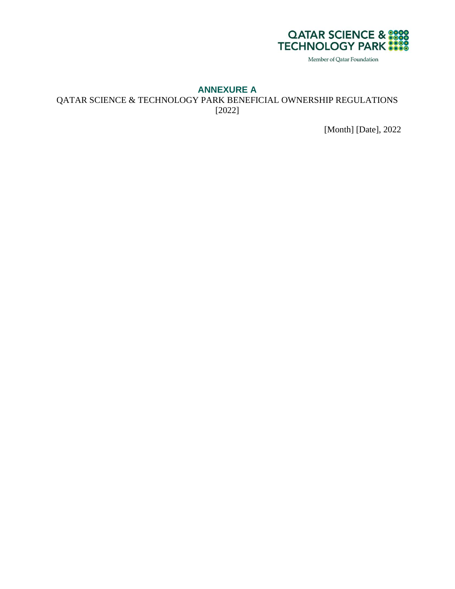

#### **ANNEXURE A**

QATAR SCIENCE & TECHNOLOGY PARK BENEFICIAL OWNERSHIP REGULATIONS [2022]

[Month] [Date], 2022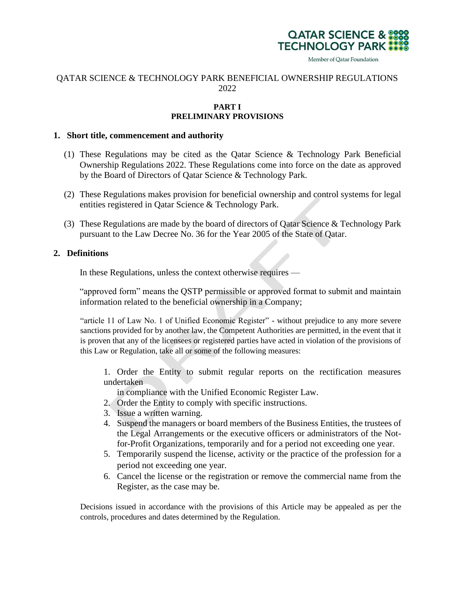

#### QATAR SCIENCE & TECHNOLOGY PARK BENEFICIAL OWNERSHIP REGULATIONS 2022

#### **PART I PRELIMINARY PROVISIONS**

#### **1. Short title, commencement and authority**

- (1) These Regulations may be cited as the Qatar Science & Technology Park Beneficial Ownership Regulations 2022. These Regulations come into force on the date as approved by the Board of Directors of Qatar Science & Technology Park.
- (2) These Regulations makes provision for beneficial ownership and control systems for legal entities registered in Qatar Science & Technology Park.
- (3) These Regulations are made by the board of directors of Qatar Science & Technology Park pursuant to the Law Decree No. 36 for the Year 2005 of the State of Qatar.

#### **2. Definitions**

In these Regulations, unless the context otherwise requires —

"approved form" means the QSTP permissible or approved format to submit and maintain information related to the beneficial ownership in a Company;

"article 11 of Law No. 1 of Unified Economic Register" - without prejudice to any more severe sanctions provided for by another law, the Competent Authorities are permitted, in the event that it is proven that any of the licensees or registered parties have acted in violation of the provisions of this Law or Regulation, take all or some of the following measures:

1. Order the Entity to submit regular reports on the rectification measures undertaken

in compliance with the Unified Economic Register Law.

- 2. Order the Entity to comply with specific instructions.
- 3. Issue a written warning.
- 4. Suspend the managers or board members of the Business Entities, the trustees of the Legal Arrangements or the executive officers or administrators of the Notfor-Profit Organizations, temporarily and for a period not exceeding one year.
- 5. Temporarily suspend the license, activity or the practice of the profession for a period not exceeding one year.
- 6. Cancel the license or the registration or remove the commercial name from the Register, as the case may be.

Decisions issued in accordance with the provisions of this Article may be appealed as per the controls, procedures and dates determined by the Regulation.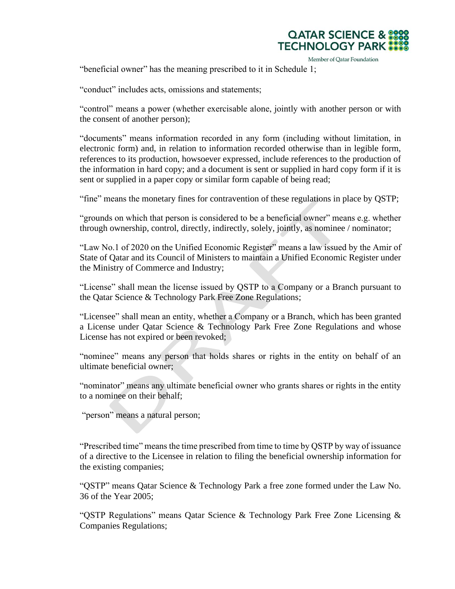

"beneficial owner" has the meaning prescribed to it in Schedule 1;

"conduct" includes acts, omissions and statements;

"control" means a power (whether exercisable alone, jointly with another person or with the consent of another person);

"documents" means information recorded in any form (including without limitation, in electronic form) and, in relation to information recorded otherwise than in legible form, references to its production, howsoever expressed, include references to the production of the information in hard copy; and a document is sent or supplied in hard copy form if it is sent or supplied in a paper copy or similar form capable of being read;

"fine" means the monetary fines for contravention of these regulations in place by QSTP;

"grounds on which that person is considered to be a beneficial owner" means e.g. whether through ownership, control, directly, indirectly, solely, jointly, as nominee / nominator;

"Law No.1 of 2020 on the Unified Economic Register" means a law issued by the Amir of State of Qatar and its Council of Ministers to maintain a Unified Economic Register under the Ministry of Commerce and Industry;

"License" shall mean the license issued by QSTP to a Company or a Branch pursuant to the Qatar Science & Technology Park Free Zone Regulations;

"Licensee" shall mean an entity, whether a Company or a Branch, which has been granted a License under Qatar Science & Technology Park Free Zone Regulations and whose License has not expired or been revoked;

"nominee" means any person that holds shares or rights in the entity on behalf of an ultimate beneficial owner;

"nominator" means any ultimate beneficial owner who grants shares or rights in the entity to a nominee on their behalf;

"person" means a natural person;

"Prescribed time" means the time prescribed from time to time by QSTP by way of issuance of a directive to the Licensee in relation to filing the beneficial ownership information for the existing companies;

"QSTP" means Qatar Science & Technology Park a free zone formed under the Law No. 36 of the Year 2005;

"QSTP Regulations" means Qatar Science & Technology Park Free Zone Licensing & Companies Regulations;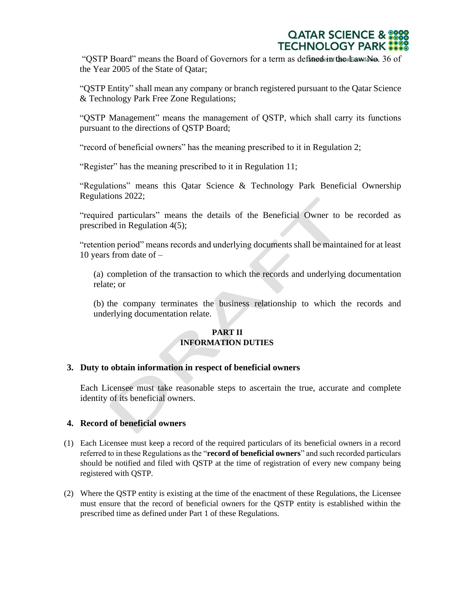"OSTP Board" means the Board of Governors for a term as defined in the Law No. 36 of the Year 2005 of the State of Qatar;

"QSTP Entity" shall mean any company or branch registered pursuant to the Qatar Science & Technology Park Free Zone Regulations;

"QSTP Management" means the management of QSTP, which shall carry its functions pursuant to the directions of QSTP Board;

"record of beneficial owners" has the meaning prescribed to it in Regulation 2;

"Register" has the meaning prescribed to it in Regulation 11;

"Regulations" means this Qatar Science & Technology Park Beneficial Ownership Regulations 2022;

"required particulars" means the details of the Beneficial Owner to be recorded as prescribed in Regulation 4(5);

"retention period" means records and underlying documents shall be maintained for at least 10 years from date of –

(a) completion of the transaction to which the records and underlying documentation relate; or

(b) the company terminates the business relationship to which the records and underlying documentation relate.

#### **PART II INFORMATION DUTIES**

#### **3. Duty to obtain information in respect of beneficial owners**

Each Licensee must take reasonable steps to ascertain the true, accurate and complete identity of its beneficial owners.

#### **4. Record of beneficial owners**

- (1) Each Licensee must keep a record of the required particulars of its beneficial owners in a record referred to in these Regulations as the "**record of beneficial owners**" and such recorded particulars should be notified and filed with QSTP at the time of registration of every new company being registered with QSTP.
- (2) Where the QSTP entity is existing at the time of the enactment of these Regulations, the Licensee must ensure that the record of beneficial owners for the QSTP entity is established within the prescribed time as defined under Part 1 of these Regulations.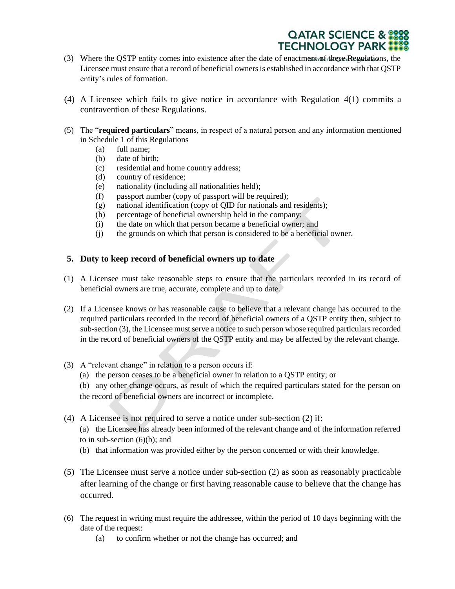- (3) Where the QSTP entity comes into existence after the date of enactment of these Regulations, the Licensee must ensure that a record of beneficial owners is established in accordance with that QSTP entity's rules of formation.
- (4) A Licensee which fails to give notice in accordance with Regulation 4(1) commits a contravention of these Regulations.
- (5) The "**required particulars**" means, in respect of a natural person and any information mentioned in Schedule 1 of this Regulations
	- (a) full name;
	- (b) date of birth;
	- (c) residential and home country address;
	- (d) country of residence;
	- (e) nationality (including all nationalities held);
	- (f) passport number (copy of passport will be required);
	- (g) national identification (copy of QID for nationals and residents);
	- (h) percentage of beneficial ownership held in the company;
	- (i) the date on which that person became a beneficial owner; and
	- (j) the grounds on which that person is considered to be a beneficial owner.

#### **5. Duty to keep record of beneficial owners up to date**

- (1) A Licensee must take reasonable steps to ensure that the particulars recorded in its record of beneficial owners are true, accurate, complete and up to date.
- (2) If a Licensee knows or has reasonable cause to believe that a relevant change has occurred to the required particulars recorded in the record of beneficial owners of a QSTP entity then, subject to sub-section (3), the Licensee must serve a notice to such person whose required particulars recorded in the record of beneficial owners of the QSTP entity and may be affected by the relevant change.
- (3) A "relevant change" in relation to a person occurs if:
	- (a) the person ceases to be a beneficial owner in relation to a QSTP entity; or

(b) any other change occurs, as result of which the required particulars stated for the person on the record of beneficial owners are incorrect or incomplete.

- (4) A Licensee is not required to serve a notice under sub-section (2) if:
	- (a) the Licensee has already been informed of the relevant change and of the information referred to in sub-section  $(6)(b)$ ; and
	- (b) that information was provided either by the person concerned or with their knowledge.
- (5) The Licensee must serve a notice under sub-section (2) as soon as reasonably practicable after learning of the change or first having reasonable cause to believe that the change has occurred.
- (6) The request in writing must require the addressee, within the period of 10 days beginning with the date of the request:
	- (a) to confirm whether or not the change has occurred; and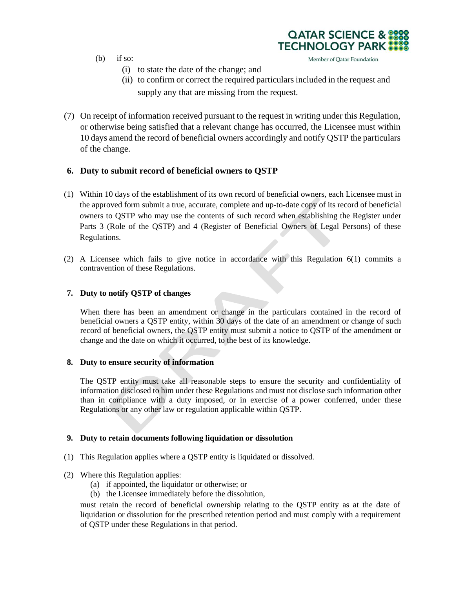- $(b)$  if so:
	- (i) to state the date of the change; and
	- (ii) to confirm or correct the required particulars included in the request and supply any that are missing from the request.

**QATAR SCIENCE & TECHNOLOGY PARK** 

Member of Qatar Foundation

(7) On receipt of information received pursuant to the request in writing under this Regulation, or otherwise being satisfied that a relevant change has occurred, the Licensee must within 10 days amend the record of beneficial owners accordingly and notify QSTP the particulars of the change.

#### **6. Duty to submit record of beneficial owners to QSTP**

- (1) Within 10 days of the establishment of its own record of beneficial owners, each Licensee must in the approved form submit a true, accurate, complete and up-to-date copy of its record of beneficial owners to QSTP who may use the contents of such record when establishing the Register under Parts 3 (Role of the QSTP) and 4 (Register of Beneficial Owners of Legal Persons) of these Regulations.
- (2) A Licensee which fails to give notice in accordance with this Regulation 6(1) commits a contravention of these Regulations.

#### **7. Duty to notify QSTP of changes**

When there has been an amendment or change in the particulars contained in the record of beneficial owners a QSTP entity, within 30 days of the date of an amendment or change of such record of beneficial owners, the QSTP entity must submit a notice to QSTP of the amendment or change and the date on which it occurred, to the best of its knowledge.

#### **8. Duty to ensure security of information**

The QSTP entity must take all reasonable steps to ensure the security and confidentiality of information disclosed to him under these Regulations and must not disclose such information other than in compliance with a duty imposed, or in exercise of a power conferred, under these Regulations or any other law or regulation applicable within QSTP.

#### **9. Duty to retain documents following liquidation or dissolution**

- (1) This Regulation applies where a QSTP entity is liquidated or dissolved.
- (2) Where this Regulation applies:
	- (a) if appointed, the liquidator or otherwise; or
	- (b) the Licensee immediately before the dissolution,

must retain the record of beneficial ownership relating to the QSTP entity as at the date of liquidation or dissolution for the prescribed retention period and must comply with a requirement of QSTP under these Regulations in that period.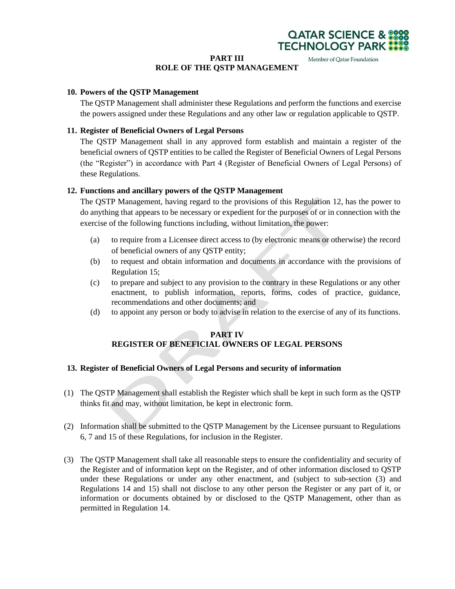

#### **PART III**

#### Member of Qatar Foundation **ROLE OF THE QSTP MANAGEMENT**

#### **10. Powers of the QSTP Management**

The QSTP Management shall administer these Regulations and perform the functions and exercise the powers assigned under these Regulations and any other law or regulation applicable to QSTP.

#### **11. Register of Beneficial Owners of Legal Persons**

The QSTP Management shall in any approved form establish and maintain a register of the beneficial owners of QSTP entities to be called the Register of Beneficial Owners of Legal Persons (the "Register") in accordance with Part 4 (Register of Beneficial Owners of Legal Persons) of these Regulations.

#### **12. Functions and ancillary powers of the QSTP Management**

The QSTP Management, having regard to the provisions of this Regulation 12, has the power to do anything that appears to be necessary or expedient for the purposes of or in connection with the exercise of the following functions including, without limitation, the power:

- (a) to require from a Licensee direct access to (by electronic means or otherwise) the record of beneficial owners of any QSTP entity;
- (b) to request and obtain information and documents in accordance with the provisions of Regulation 15;
- (c) to prepare and subject to any provision to the contrary in these Regulations or any other enactment, to publish information, reports, forms, codes of practice, guidance, recommendations and other documents; and
- (d) to appoint any person or body to advise in relation to the exercise of any of its functions.

#### **PART IV REGISTER OF BENEFICIAL OWNERS OF LEGAL PERSONS**

#### **13. Register of Beneficial Owners of Legal Persons and security of information**

- (1) The QSTP Management shall establish the Register which shall be kept in such form as the QSTP thinks fit and may, without limitation, be kept in electronic form.
- (2) Information shall be submitted to the QSTP Management by the Licensee pursuant to Regulations 6, 7 and 15 of these Regulations, for inclusion in the Register.
- (3) The QSTP Management shall take all reasonable steps to ensure the confidentiality and security of the Register and of information kept on the Register, and of other information disclosed to QSTP under these Regulations or under any other enactment, and (subject to sub-section (3) and Regulations 14 and 15) shall not disclose to any other person the Register or any part of it, or information or documents obtained by or disclosed to the QSTP Management, other than as permitted in Regulation 14.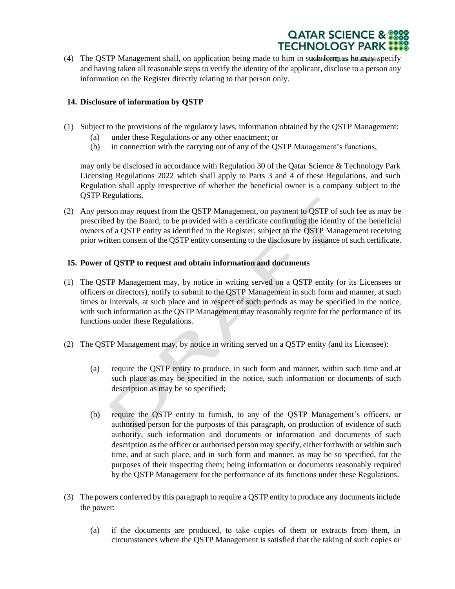

(4) The QSTP Management shall, on application being made to him in such form as he may specify and having taken all reasonable steps to verify the identity of the applicant, disclose to a person any information on the Register directly relating to that person only.

#### **14. Disclosure of information by QSTP**

- (1) Subject to the provisions of the regulatory laws, information obtained by the QSTP Management:
	- (a) under these Regulations or any other enactment; or
	- (b) in connection with the carrying out of any of the QSTP Management's functions,

may only be disclosed in accordance with Regulation 30 of the Qatar Science & Technology Park Licensing Regulations 2022 which shall apply to Parts 3 and 4 of these Regulations, and such Regulation shall apply irrespective of whether the beneficial owner is a company subject to the QSTP Regulations.

(2) Any person may request from the QSTP Management, on payment to QSTP of such fee as may be prescribed by the Board, to be provided with a certificate confirming the identity of the beneficial owners of a QSTP entity as identified in the Register, subject to the QSTP Management receiving prior written consent of the QSTP entity consenting to the disclosure by issuance of such certificate.

#### **15. Power of QSTP to request and obtain information and documents**

- (1) The QSTP Management may, by notice in writing served on a QSTP entity (or its Licensees or officers or directors), notify to submit to the QSTP Management in such form and manner, at such times or intervals, at such place and in respect of such periods as may be specified in the notice, with such information as the OSTP Management may reasonably require for the performance of its functions under these Regulations.
- (2) The QSTP Management may, by notice in writing served on a QSTP entity (and its Licensee):
	- (a) require the QSTP entity to produce, in such form and manner, within such time and at such place as may be specified in the notice, such information or documents of such description as may be so specified;
	- (b) require the QSTP entity to furnish, to any of the QSTP Management's officers, or authorised person for the purposes of this paragraph, on production of evidence of such authority, such information and documents or information and documents of such description as the officer or authorised person may specify, either forthwith or within such time, and at such place, and in such form and manner, as may be so specified, for the purposes of their inspecting them; being information or documents reasonably required by the QSTP Management for the performance of its functions under these Regulations.
- (3) The powers conferred by this paragraph to require a QSTP entity to produce any documents include the power:
	- (a) if the documents are produced, to take copies of them or extracts from them, in circumstances where the QSTP Management is satisfied that the taking of such copies or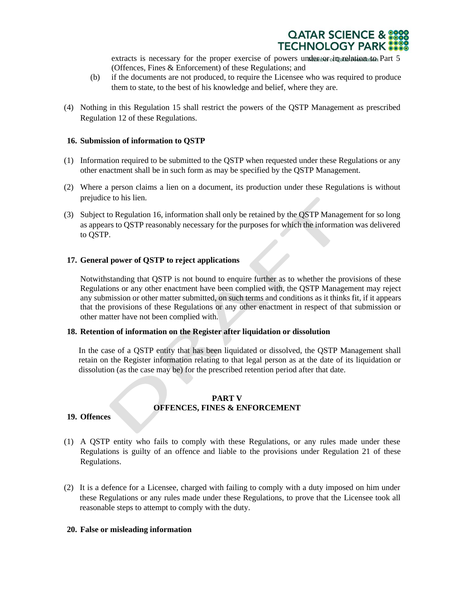

extracts is necessary for the proper exercise of powers under tornarelation to Part 5 (Offences, Fines & Enforcement) of these Regulations; and

- (b) if the documents are not produced, to require the Licensee who was required to produce them to state, to the best of his knowledge and belief, where they are.
- (4) Nothing in this Regulation 15 shall restrict the powers of the QSTP Management as prescribed Regulation 12 of these Regulations.

#### **16. Submission of information to QSTP**

- (1) Information required to be submitted to the QSTP when requested under these Regulations or any other enactment shall be in such form as may be specified by the QSTP Management.
- (2) Where a person claims a lien on a document, its production under these Regulations is without prejudice to his lien.
- (3) Subject to Regulation 16, information shall only be retained by the QSTP Management for so long as appears to QSTP reasonably necessary for the purposes for which the information was delivered to QSTP.

#### **17. General power of QSTP to reject applications**

Notwithstanding that QSTP is not bound to enquire further as to whether the provisions of these Regulations or any other enactment have been complied with, the QSTP Management may reject any submission or other matter submitted, on such terms and conditions as it thinks fit, if it appears that the provisions of these Regulations or any other enactment in respect of that submission or other matter have not been complied with.

#### **18. Retention of information on the Register after liquidation or dissolution**

In the case of a QSTP entity that has been liquidated or dissolved, the QSTP Management shall retain on the Register information relating to that legal person as at the date of its liquidation or dissolution (as the case may be) for the prescribed retention period after that date.

#### **PART V OFFENCES, FINES & ENFORCEMENT**

#### **19. Offences**

- (1) A QSTP entity who fails to comply with these Regulations, or any rules made under these Regulations is guilty of an offence and liable to the provisions under Regulation 21 of these Regulations.
- (2) It is a defence for a Licensee, charged with failing to comply with a duty imposed on him under these Regulations or any rules made under these Regulations, to prove that the Licensee took all reasonable steps to attempt to comply with the duty.

#### **20. False or misleading information**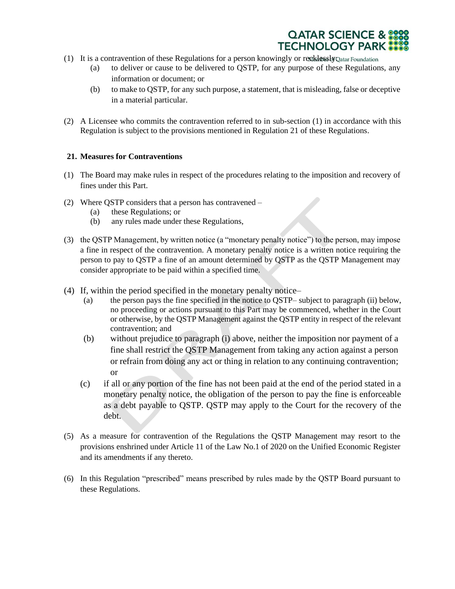

- (1) It is a contravention of these Regulations for a person knowingly or recklessly Qatar Foundation
	- (a) to deliver or cause to be delivered to QSTP, for any purpose of these Regulations, any information or document; or
	- (b) to make to QSTP, for any such purpose, a statement, that is misleading, false or deceptive in a material particular.
- (2) A Licensee who commits the contravention referred to in sub-section (1) in accordance with this Regulation is subject to the provisions mentioned in Regulation 21 of these Regulations.

#### **21. Measures for Contraventions**

- (1) The Board may make rules in respect of the procedures relating to the imposition and recovery of fines under this Part.
- (2) Where QSTP considers that a person has contravened
	- (a) these Regulations; or
	- (b) any rules made under these Regulations,
- (3) the QSTP Management, by written notice (a "monetary penalty notice") to the person, may impose a fine in respect of the contravention. A monetary penalty notice is a written notice requiring the person to pay to QSTP a fine of an amount determined by QSTP as the QSTP Management may consider appropriate to be paid within a specified time.
- (4) If, within the period specified in the monetary penalty notice–
	- (a) the person pays the fine specified in the notice to QSTP– subject to paragraph (ii) below, no proceeding or actions pursuant to this Part may be commenced, whether in the Court or otherwise, by the QSTP Management against the QSTP entity in respect of the relevant contravention; and
	- (b) without prejudice to paragraph (i) above, neither the imposition nor payment of a fine shall restrict the QSTP Management from taking any action against a person or refrain from doing any act or thing in relation to any continuing contravention; or
	- (c) if all or any portion of the fine has not been paid at the end of the period stated in a monetary penalty notice, the obligation of the person to pay the fine is enforceable as a debt payable to QSTP. QSTP may apply to the Court for the recovery of the debt.
- (5) As a measure for contravention of the Regulations the QSTP Management may resort to the provisions enshrined under Article 11 of the Law No.1 of 2020 on the Unified Economic Register and its amendments if any thereto.
- (6) In this Regulation "prescribed" means prescribed by rules made by the QSTP Board pursuant to these Regulations.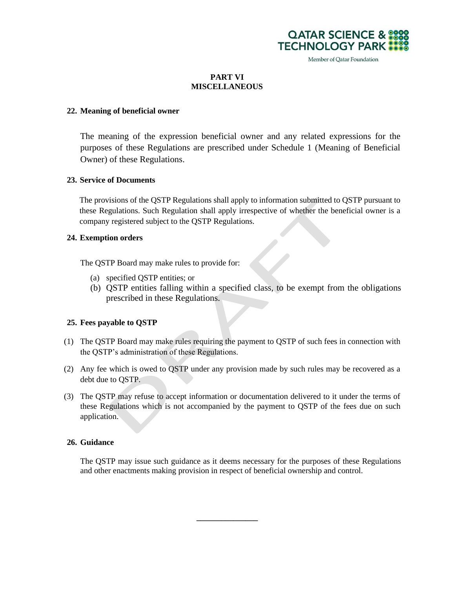

#### **PART VI MISCELLANEOUS**

#### **22. Meaning of beneficial owner**

The meaning of the expression beneficial owner and any related expressions for the purposes of these Regulations are prescribed under Schedule 1 (Meaning of Beneficial Owner) of these Regulations.

#### **23. Service of Documents**

The provisions of the QSTP Regulations shall apply to information submitted to QSTP pursuant to these Regulations. Such Regulation shall apply irrespective of whether the beneficial owner is a company registered subject to the QSTP Regulations.

#### **24. Exemption orders**

The QSTP Board may make rules to provide for:

- (a) specified QSTP entities; or
- (b) QSTP entities falling within a specified class, to be exempt from the obligations prescribed in these Regulations.

#### **25. Fees payable to QSTP**

- (1) The QSTP Board may make rules requiring the payment to QSTP of such fees in connection with the QSTP's administration of these Regulations.
- (2) Any fee which is owed to QSTP under any provision made by such rules may be recovered as a debt due to QSTP.
- (3) The QSTP may refuse to accept information or documentation delivered to it under the terms of these Regulations which is not accompanied by the payment to QSTP of the fees due on such application.

#### **26. Guidance**

The QSTP may issue such guidance as it deems necessary for the purposes of these Regulations and other enactments making provision in respect of beneficial ownership and control.

**\_\_\_\_\_\_\_\_\_\_\_\_\_\_\_**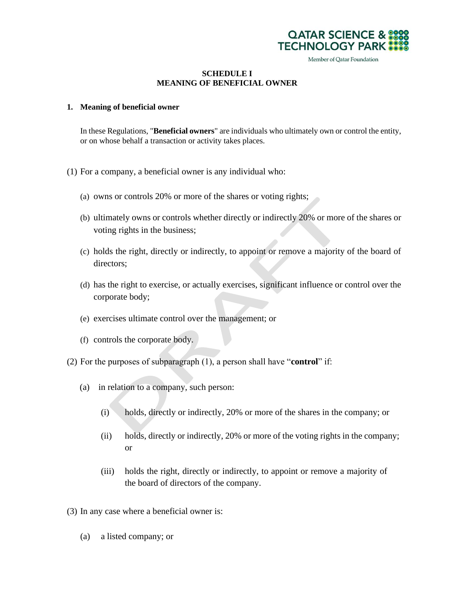

#### **SCHEDULE I MEANING OF BENEFICIAL OWNER**

#### **1. Meaning of beneficial owner**

In these Regulations, "**Beneficial owners**" are individuals who ultimately own or control the entity, or on whose behalf a transaction or activity takes places.

- (1) For a company, a beneficial owner is any individual who:
	- (a) owns or controls 20% or more of the shares or voting rights;
	- (b) ultimately owns or controls whether directly or indirectly 20% or more of the shares or voting rights in the business;
	- (c) holds the right, directly or indirectly, to appoint or remove a majority of the board of directors;
	- (d) has the right to exercise, or actually exercises, significant influence or control over the corporate body;
	- (e) exercises ultimate control over the management; or
	- (f) controls the corporate body.
- (2) For the purposes of subparagraph (1), a person shall have "**control**" if:
	- (a) in relation to a company, such person:
		- (i) holds, directly or indirectly, 20% or more of the shares in the company; or
		- (ii) holds, directly or indirectly, 20% or more of the voting rights in the company; or
		- (iii) holds the right, directly or indirectly, to appoint or remove a majority of the board of directors of the company.
- (3) In any case where a beneficial owner is:
	- (a) a listed company; or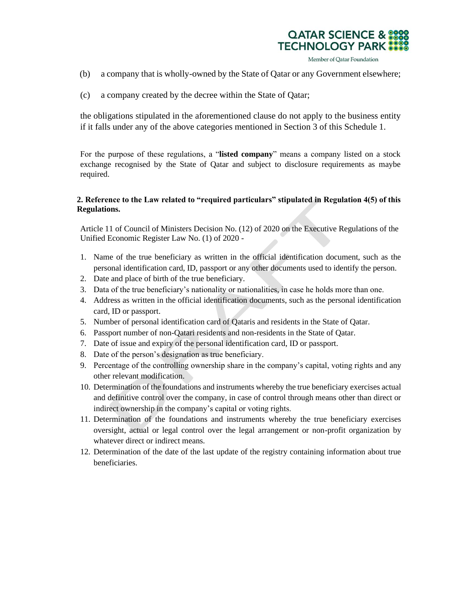

- (b) a company that is wholly-owned by the State of Qatar or any Government elsewhere;
- (c) a company created by the decree within the State of Qatar;

the obligations stipulated in the aforementioned clause do not apply to the business entity if it falls under any of the above categories mentioned in Section 3 of this Schedule 1.

For the purpose of these regulations, a "**listed company**" means a company listed on a stock exchange recognised by the State of Qatar and subject to disclosure requirements as maybe required.

#### **2. Reference to the Law related to "required particulars" stipulated in Regulation 4(5) of this Regulations.**

Article 11 of Council of Ministers Decision No. (12) of 2020 on the Executive Regulations of the Unified Economic Register Law No. (1) of 2020 -

- 1. Name of the true beneficiary as written in the official identification document, such as the personal identification card, ID, passport or any other documents used to identify the person.
- 2. Date and place of birth of the true beneficiary.
- 3. Data of the true beneficiary's nationality or nationalities, in case he holds more than one.
- 4. Address as written in the official identification documents, such as the personal identification card, ID or passport.
- 5. Number of personal identification card of Qataris and residents in the State of Qatar.
- 6. Passport number of non-Qatari residents and non-residents in the State of Qatar.
- 7. Date of issue and expiry of the personal identification card, ID or passport.
- 8. Date of the person's designation as true beneficiary.
- 9. Percentage of the controlling ownership share in the company's capital, voting rights and any other relevant modification.
- 10. Determination of the foundations and instruments whereby the true beneficiary exercises actual and definitive control over the company, in case of control through means other than direct or indirect ownership in the company's capital or voting rights.
- 11. Determination of the foundations and instruments whereby the true beneficiary exercises oversight, actual or legal control over the legal arrangement or non-profit organization by whatever direct or indirect means.
- 12. Determination of the date of the last update of the registry containing information about true beneficiaries.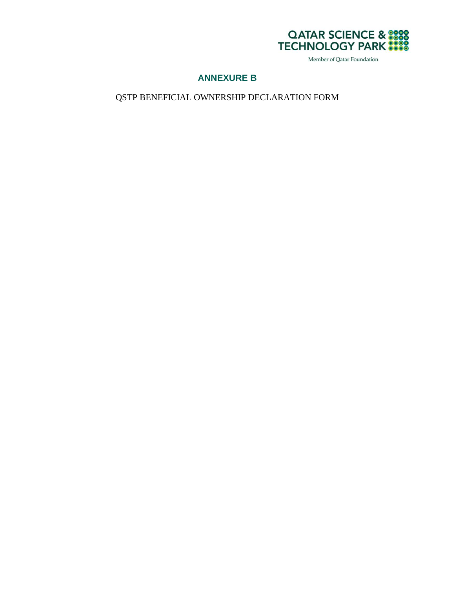

#### **ANNEXURE B**

QSTP BENEFICIAL OWNERSHIP DECLARATION FORM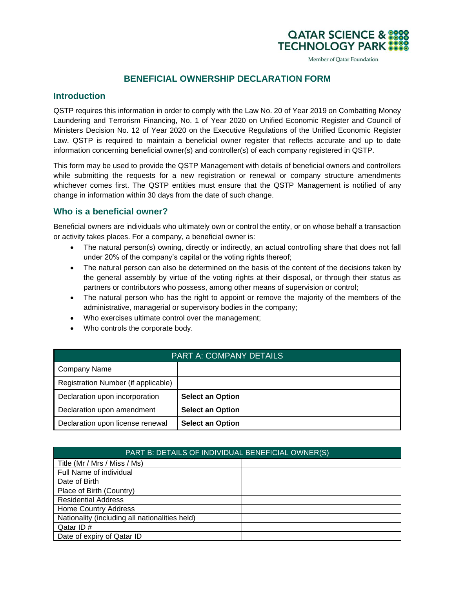### **BENEFICIAL OWNERSHIP DECLARATION FORM**

**QATAR SCIENCE 8 TECHNOLOGY PARK** 

Member of Qatar Foundation

#### **Introduction**

QSTP requires this information in order to comply with the Law No. 20 of Year 2019 on Combatting Money Laundering and Terrorism Financing, No. 1 of Year 2020 on Unified Economic Register and Council of Ministers Decision No. 12 of Year 2020 on the Executive Regulations of the Unified Economic Register Law. QSTP is required to maintain a beneficial owner register that reflects accurate and up to date information concerning beneficial owner(s) and controller(s) of each company registered in QSTP.

This form may be used to provide the QSTP Management with details of beneficial owners and controllers while submitting the requests for a new registration or renewal or company structure amendments whichever comes first. The QSTP entities must ensure that the QSTP Management is notified of any change in information within 30 days from the date of such change.

#### **Who is a beneficial owner?**

Beneficial owners are individuals who ultimately own or control the entity, or on whose behalf a transaction or activity takes places. For a company, a beneficial owner is:

- The natural person(s) owning, directly or indirectly, an actual controlling share that does not fall under 20% of the company's capital or the voting rights thereof;
- The natural person can also be determined on the basis of the content of the decisions taken by the general assembly by virtue of the voting rights at their disposal, or through their status as partners or contributors who possess, among other means of supervision or control;
- The natural person who has the right to appoint or remove the majority of the members of the administrative, managerial or supervisory bodies in the company;
- Who exercises ultimate control over the management;
- Who controls the corporate body.

| <b>PART A: COMPANY DETAILS</b>      |                         |  |
|-------------------------------------|-------------------------|--|
| <b>Company Name</b>                 |                         |  |
| Registration Number (if applicable) |                         |  |
| Declaration upon incorporation      | <b>Select an Option</b> |  |
| Declaration upon amendment          | <b>Select an Option</b> |  |
| Declaration upon license renewal    | <b>Select an Option</b> |  |

| PART B: DETAILS OF INDIVIDUAL BENEFICIAL OWNER(S) |  |  |
|---------------------------------------------------|--|--|
| Title (Mr / Mrs / Miss / Ms)                      |  |  |
| Full Name of individual                           |  |  |
| Date of Birth                                     |  |  |
| Place of Birth (Country)                          |  |  |
| <b>Residential Address</b>                        |  |  |
| <b>Home Country Address</b>                       |  |  |
| Nationality (including all nationalities held)    |  |  |
| Qatar ID#                                         |  |  |
| Date of expiry of Qatar ID                        |  |  |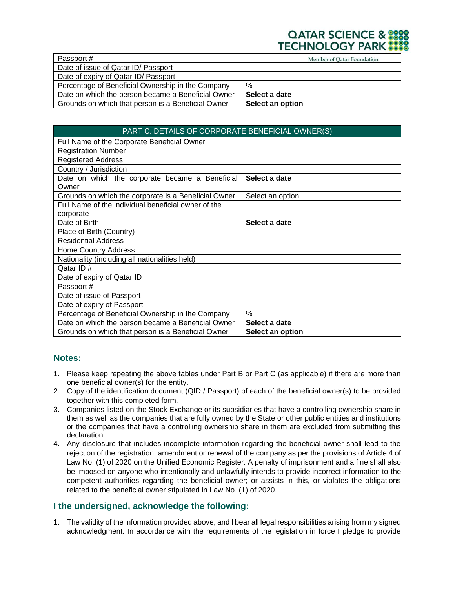# **QATAR SCIENCE &**

| Passport #                                         | Member of Qatar Foundation |
|----------------------------------------------------|----------------------------|
| Date of issue of Qatar ID/ Passport                |                            |
| Date of expiry of Qatar ID/ Passport               |                            |
| Percentage of Beneficial Ownership in the Company  | %                          |
| Date on which the person became a Beneficial Owner | Select a date              |
| Grounds on which that person is a Beneficial Owner | Select an option           |

| PART C: DETAILS OF CORPORATE BENEFICIAL OWNER(S)     |                  |  |
|------------------------------------------------------|------------------|--|
| Full Name of the Corporate Beneficial Owner          |                  |  |
| <b>Registration Number</b>                           |                  |  |
| <b>Registered Address</b>                            |                  |  |
| Country / Jurisdiction                               |                  |  |
| Date on which the corporate became a Beneficial      | Select a date    |  |
| Owner                                                |                  |  |
| Grounds on which the corporate is a Beneficial Owner | Select an option |  |
| Full Name of the individual beneficial owner of the  |                  |  |
| corporate                                            |                  |  |
| Date of Birth                                        | Select a date    |  |
| Place of Birth (Country)                             |                  |  |
| <b>Residential Address</b>                           |                  |  |
| <b>Home Country Address</b>                          |                  |  |
| Nationality (including all nationalities held)       |                  |  |
| Qatar ID#                                            |                  |  |
| Date of expiry of Qatar ID                           |                  |  |
| Passport #                                           |                  |  |
| Date of issue of Passport                            |                  |  |
| Date of expiry of Passport                           |                  |  |
| Percentage of Beneficial Ownership in the Company    | $\%$             |  |
| Date on which the person became a Beneficial Owner   | Select a date    |  |
| Grounds on which that person is a Beneficial Owner   | Select an option |  |

#### **Notes:**

- 1. Please keep repeating the above tables under Part B or Part C (as applicable) if there are more than one beneficial owner(s) for the entity.
- 2. Copy of the identification document (QID / Passport) of each of the beneficial owner(s) to be provided together with this completed form.
- 3. Companies listed on the Stock Exchange or its subsidiaries that have a controlling ownership share in them as well as the companies that are fully owned by the State or other public entities and institutions or the companies that have a controlling ownership share in them are excluded from submitting this declaration.
- 4. Any disclosure that includes incomplete information regarding the beneficial owner shall lead to the rejection of the registration, amendment or renewal of the company as per the provisions of Article 4 of Law No. (1) of 2020 on the Unified Economic Register. A penalty of imprisonment and a fine shall also be imposed on anyone who intentionally and unlawfully intends to provide incorrect information to the competent authorities regarding the beneficial owner; or assists in this, or violates the obligations related to the beneficial owner stipulated in Law No. (1) of 2020.

#### **I the undersigned, acknowledge the following:**

1. The validity of the information provided above, and I bear all legal responsibilities arising from my signed acknowledgment. In accordance with the requirements of the legislation in force I pledge to provide